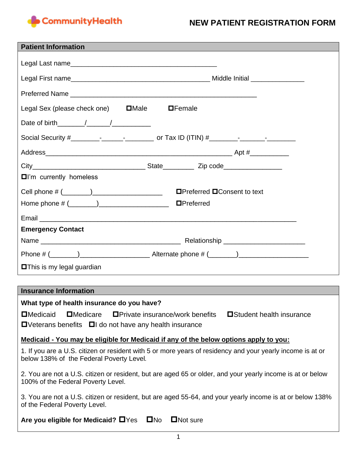

## **NEW PATIENT REGISTRATION FORM**

| <b>Patient Information</b>                             |
|--------------------------------------------------------|
|                                                        |
|                                                        |
|                                                        |
|                                                        |
| Legal Sex (please check one) $\Box$ Male $\Box$ Female |
|                                                        |
|                                                        |
|                                                        |
|                                                        |
| $\Box$ I'm currently homeless                          |
|                                                        |
|                                                        |
|                                                        |
| <b>Emergency Contact</b>                               |
|                                                        |
|                                                        |
| <b>O</b> This is my legal guardian                     |

#### **Insurance Information**

#### **What type of health insurance do you have?**

 $\Box$ Medicaid  $\Box$ Medicare  $\Box$ Private insurance/work benefits  $\Box$ Student health insurance  $\Box$ Veterans benefits  $\Box$ I do not have any health insurance

#### **Medicaid - You may be eligible for Medicaid if any of the below options apply to you:**

1. If you are a U.S. citizen or resident with 5 or more years of residency and your yearly income is at or below 138% of the Federal Poverty Level*.* 

2. You are not a U.S. citizen or resident, but are aged 65 or older, and your yearly income is at or below 100% of the Federal Poverty Level.

3. You are not a U.S. citizen or resident, but are aged 55-64, and your yearly income is at or below 138% of the Federal Poverty Level.

Are you eligible for Medicaid? **O**Yes **ONO ON** Sure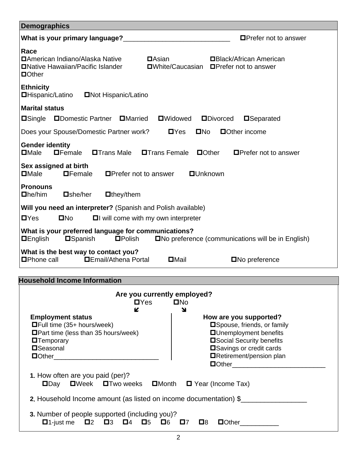| <b>Demographics</b>                                                                                                                                                                                                   |  |  |  |  |
|-----------------------------------------------------------------------------------------------------------------------------------------------------------------------------------------------------------------------|--|--|--|--|
| What is your primary language?<br>$\Box$ Prefer not to answer                                                                                                                                                         |  |  |  |  |
| Race<br><b>DAmerican Indiano/Alaska Native</b><br>$\blacksquare$ Asian<br><b>□Black/African American</b><br><b>ONative Hawaiian/Pacific Islander</b><br><b>□White/Caucasian □Prefer not to answer</b><br>$\Box$ Other |  |  |  |  |
| <b>Ethnicity</b><br><b>□Hispanic/Latino</b><br><b>ONOt Hispanic/Latino</b>                                                                                                                                            |  |  |  |  |
| <b>Marital status</b>                                                                                                                                                                                                 |  |  |  |  |
| <b>ODomestic Partner</b><br><b>DMarried</b><br><b>O</b> Widowed<br><b>ODivorced</b><br><b>□Single</b><br><b>O</b> Separated                                                                                           |  |  |  |  |
| Does your Spouse/Domestic Partner work?<br>$\blacksquare$<br>$\Box$ Other income<br>$\square$ No                                                                                                                      |  |  |  |  |
| <b>Gender identity</b><br>$\square$ Male<br>$\blacksquare$ Female<br><b>OTrans Male</b><br>$\Box$ Other<br><b>□Trans Female</b><br>$\Box$ Prefer not to answer                                                        |  |  |  |  |
| Sex assigned at birth<br>$\square$ Male<br>$\blacksquare$ Female<br>$\blacksquare$ Prefer not to answer<br><b>OUnknown</b>                                                                                            |  |  |  |  |
| <b>Pronouns</b><br>$\Box$ he/him<br>$\Box$ she/her<br>$\Box$ they/them                                                                                                                                                |  |  |  |  |
| Will you need an interpreter? (Spanish and Polish available)                                                                                                                                                          |  |  |  |  |
| $\blacksquare$<br>$\square$ No<br>$\Box$ will come with my own interpreter                                                                                                                                            |  |  |  |  |
| What is your preferred language for communications?<br><b>DEnglish</b><br><b>O</b> Spanish<br><b>O</b> Polish<br>□No preference (communications will be in English)                                                   |  |  |  |  |
| What is the best way to contact you?<br><b>DEmail/Athena Portal</b><br>$\Box$ Phone call<br>$\Box$ Mail<br>$\square$ No preference                                                                                    |  |  |  |  |

# **Household Income Information**

| K                                                                                            | ↘                                             |
|----------------------------------------------------------------------------------------------|-----------------------------------------------|
| <b>Employment status</b>                                                                     | How are you supported?                        |
| $\Box$ Full time (35+ hours/week)                                                            | □ Spouse, friends, or family                  |
| $\blacksquare$ Part time (less than 35 hours/week)                                           | <b>OUnemployment benefits</b>                 |
| <b>O</b> Temporary                                                                           | <b>□Social Security benefits</b>              |
| <b>O</b> Seasonal                                                                            | <b>□</b> Savings or credit cards              |
| <b>Dother</b> ____________________                                                           | □Retirement/pension plan                      |
|                                                                                              | $\Box$ Other $\Box$ Other $\Box$ Other $\Box$ |
| 1. How often are you paid (per)?                                                             |                                               |
| $\square$ Day $\square$ Week $\square$ Two weeks $\square$ Month $\square$ Year (Income Tax) |                                               |
| <b>2.</b> Household Income amount (as listed on income documentation) \$                     |                                               |